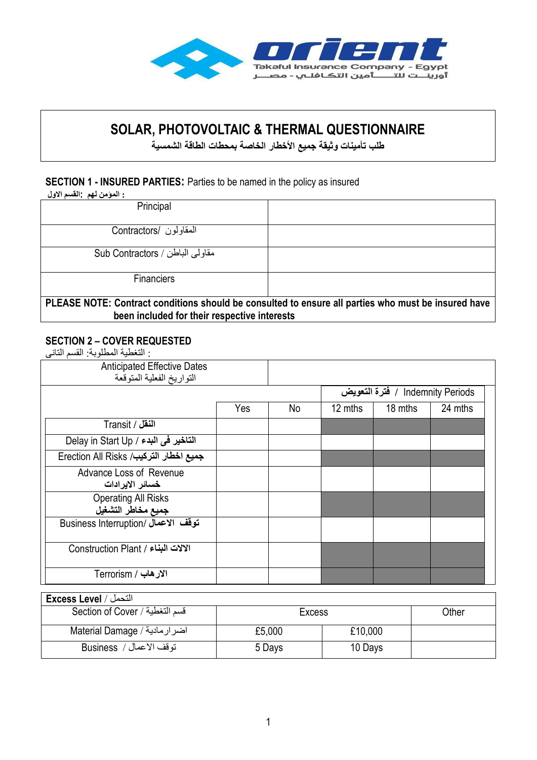

# **SOLAR, PHOTOVOLTAIC & THERMAL QUESTIONNAIRE**

**طلب تأمينات وثيقة جميع األخطار الخاصة بمحطات الطاقة الشمسية**

#### **SECTION 1 - INSURED PARTIES:** Parties to be named in the policy as insured

**: المؤمن لهم :القسم االول** 

| Principal                                                                                                                                           |  |  |
|-----------------------------------------------------------------------------------------------------------------------------------------------------|--|--|
| المقاولون /Contractors                                                                                                                              |  |  |
| مقاولي الباطن / Sub Contractors                                                                                                                     |  |  |
| <b>Financiers</b>                                                                                                                                   |  |  |
| PLEASE NOTE: Contract conditions should be consulted to ensure all parties who must be insured have<br>been included for their respective interests |  |  |

#### **SECTION 2 – COVER REQUESTED**

: التغطية المطلوبة: القسم التانى

| <b>Anticipated Effective Dates</b><br>التواريخ الفعلية المتوقعة |     |    |         |                                  |         |
|-----------------------------------------------------------------|-----|----|---------|----------------------------------|---------|
|                                                                 |     |    |         | Indemnity Periods / فترة التعويض |         |
|                                                                 | Yes | No | 12 mths | 18 mths                          | 24 mths |
| النقل / Transit                                                 |     |    |         |                                  |         |
| التاخير في البدء / Delay in Start Up                            |     |    |         |                                  |         |
| جميع اخطار التركيب/ Erection All Risks                          |     |    |         |                                  |         |
| Advance Loss of Revenue<br>خسائر الايرادات                      |     |    |         |                                  |         |
| <b>Operating All Risks</b><br>جميع مخاطر التشغيل                |     |    |         |                                  |         |
| Business Interruption/ اتوقف الاعمال                            |     |    |         |                                  |         |
| الالات البناء / Construction Plant                              |     |    |         |                                  |         |
| الارهاب / Terrorism                                             |     |    |         |                                  |         |

| التحمل / Excess Level          |        |         |       |
|--------------------------------|--------|---------|-------|
| قسم التغطية / Section of Cover | Excess |         | Other |
| Material Damage / اضرارمادية   | £5,000 | £10,000 |       |
| توقف الاعمال /  Business       | 5 Days | 10 Days |       |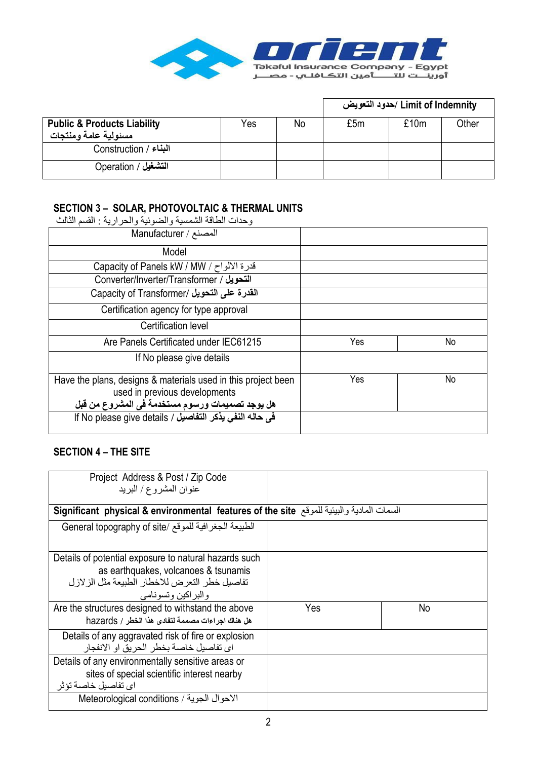

|                                                                |     |    |     | Limit of Indemnity /حدود التعويض |       |
|----------------------------------------------------------------|-----|----|-----|----------------------------------|-------|
| <b>Public &amp; Products Liability</b><br>مسئولية عامة ومنتجات | Yes | No | £5m | £10m                             | Other |
| البناء / Construction                                          |     |    |     |                                  |       |
| التشغيل / Operation                                            |     |    |     |                                  |       |

# **SECTION 3 – SOLAR, PHOTOVOLTAIC & THERMAL UNITS**

وحدات الطاقة الشمسية والضوئية والحرارية : القسم الثالث

| المصنع / Manufacturer                                                                                                                             |     |    |
|---------------------------------------------------------------------------------------------------------------------------------------------------|-----|----|
| Model                                                                                                                                             |     |    |
| Ecapacity of Panels kW / MW / ح / Capacity of Panels kW                                                                                           |     |    |
| Converter/Inverter/Transformer / التحويل                                                                                                          |     |    |
| القدرة على التحويل /Capacity of Transformer                                                                                                       |     |    |
| Certification agency for type approval                                                                                                            |     |    |
| Certification level                                                                                                                               |     |    |
| Are Panels Certificated under IEC61215                                                                                                            | Yes | No |
| If No please give details                                                                                                                         |     |    |
| Have the plans, designs & materials used in this project been<br>used in previous developments<br>هل يوجد تصميمات ورسوم مستخدمة في المشروع من قبل | Yes | No |
| في حاله النفي يذكر التفاصيل / If No please give details                                                                                           |     |    |

# **SECTION 4 – THE SITE**

| Project Address & Post / Zip Code<br>عنوان المشروع/ البريد                                                                                                               |     |    |  |
|--------------------------------------------------------------------------------------------------------------------------------------------------------------------------|-----|----|--|
| السمات المادية والبيئية للموقع Significant  physical & environmental  features of the site                                                                               |     |    |  |
| الطبيعة الجغرافية للموقع /General topography of site                                                                                                                     |     |    |  |
| Details of potential exposure to natural hazards such<br>as earthquakes, volcanoes & tsunamis<br>تفاصيل خطر التعر ض للاخطار الطبيعة مثل الز لاز ل<br>والبر اكين وتسونامي |     |    |  |
| Are the structures designed to withstand the above<br>هل هناك اجراءات مصممة لتفادى هذا الخطر / hazards                                                                   | Yes | No |  |
| Details of any aggravated risk of fire or explosion<br>اي تفاصيل خاصـة بخطر  الـحر يق او  الانفجار                                                                       |     |    |  |
| Details of any environmentally sensitive areas or<br>sites of special scientific interest nearby<br>اي تفاصيل خاصة تؤثر                                                  |     |    |  |
| الاحوال الجوية / Meteorological conditions                                                                                                                               |     |    |  |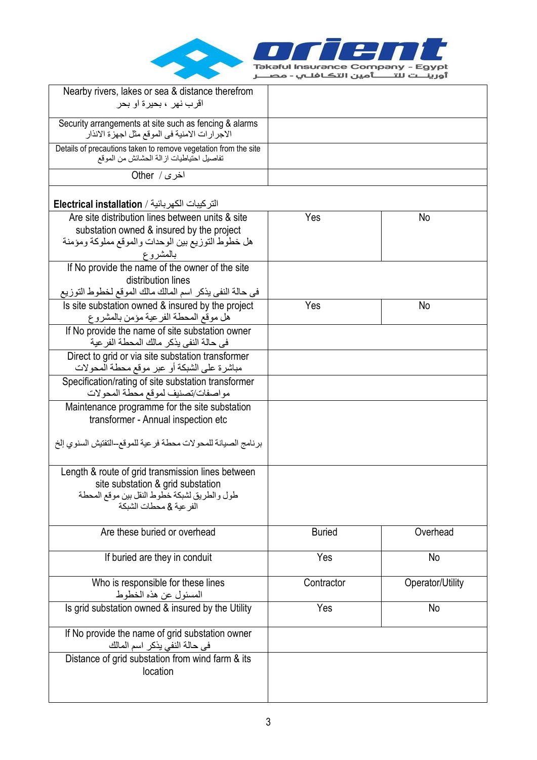

| Nearby rivers, lakes or sea & distance therefrom                                                                                                                  |               |                  |
|-------------------------------------------------------------------------------------------------------------------------------------------------------------------|---------------|------------------|
| اقر ب نهر ، بحير ة او بحر                                                                                                                                         |               |                  |
| Security arrangements at site such as fencing & alarms<br>الاجر ار ات الامنية في الموقع مثل اجهز ة الانذار                                                        |               |                  |
| Details of precautions taken to remove vegetation from the site<br>تفاصيل احتياطيات ازالة الحشائش من الموقع                                                       |               |                  |
| اخرى / Other                                                                                                                                                      |               |                  |
| التركيبات الكهربائية / Electrical installation                                                                                                                    |               |                  |
| Are site distribution lines between units & site<br>substation owned & insured by the project<br>هل خطوط التوزيع بين الوحدات والموقع مملوكة ومؤمنة<br>بالمشروع    | Yes           | No               |
| If No provide the name of the owner of the site<br>distribution lines<br>في حالة النفي يذكر اسم المالك مالك الموقع لخطوط التوزيع                                  |               |                  |
| Is site substation owned & insured by the project<br>هل موقع المحطة الفرعية مؤمن بالمشروع                                                                         | Yes           | No               |
| If No provide the name of site substation owner<br>في حالة النفي يذكر ٍ مالك المحطة الفر عية                                                                      |               |                  |
| Direct to grid or via site substation transformer<br>مباشرة على الشبكة أو عبر موقع محطة المحولات                                                                  |               |                  |
| Specification/rating of site substation transformer<br>مواصفات/تصنيف لموقع محطة المحولات                                                                          |               |                  |
| Maintenance programme for the site substation<br>transformer - Annual inspection etc                                                                              |               |                  |
| برنامج الصيانة للمحولات محطة فرعية للموقع-التفتيش السنوي إلخ                                                                                                      |               |                  |
| Length & route of grid transmission lines between<br>site substation & grid substation<br>طول والطريق لشبكة خطوط النقل بين موقع المحطة<br>الفر عبة & محطات الشبكة |               |                  |
| Are these buried or overhead                                                                                                                                      | <b>Buried</b> | Overhead         |
| If buried are they in conduit                                                                                                                                     | Yes           | No               |
| Who is responsible for these lines<br>المسئول عن هذه الخطوط                                                                                                       | Contractor    | Operator/Utility |
| Is grid substation owned & insured by the Utility                                                                                                                 | Yes           | No               |
| If No provide the name of grid substation owner<br>في حالة النفي يذكر اسم المالك                                                                                  |               |                  |
| Distance of grid substation from wind farm & its<br>location                                                                                                      |               |                  |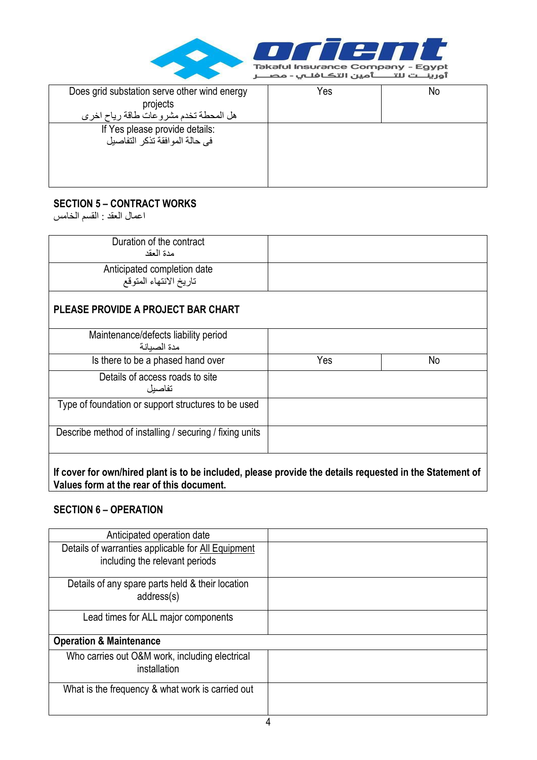

| Does grid substation serve other wind energy | Yes | No |
|----------------------------------------------|-----|----|
| projects                                     |     |    |
| هل المحطة تخدم مشروعات طاقة رياح اخرى        |     |    |
| If Yes please provide details:               |     |    |
| في حالة المو افقة تذكر التفاصيل              |     |    |
|                                              |     |    |
|                                              |     |    |
|                                              |     |    |
|                                              |     |    |

#### **SECTION 5 – CONTRACT WORKS**

اعمال العقد : القسم الخامس

| Duration of the contract<br>مدة العقد                   |     |    |
|---------------------------------------------------------|-----|----|
| Anticipated completion date<br>تاريخ الانتهاء المتوقع   |     |    |
| PLEASE PROVIDE A PROJECT BAR CHART                      |     |    |
| Maintenance/defects liability period<br>مدة الصيانة     |     |    |
| Is there to be a phased hand over                       | Yes | No |
| Details of access roads to site<br>تفاصبل               |     |    |
| Type of foundation or support structures to be used     |     |    |
| Describe method of installing / securing / fixing units |     |    |
|                                                         |     |    |

**If cover for own/hired plant is to be included, please provide the details requested in the Statement of Values form at the rear of this document.** 

#### **SECTION 6 – OPERATION**

| Anticipated operation date                                                           |  |
|--------------------------------------------------------------------------------------|--|
| Details of warranties applicable for All Equipment<br>including the relevant periods |  |
| Details of any spare parts held & their location<br>address(s)                       |  |
| Lead times for ALL major components                                                  |  |
| <b>Operation &amp; Maintenance</b>                                                   |  |
| Who carries out O&M work, including electrical<br>installation                       |  |
| What is the frequency & what work is carried out                                     |  |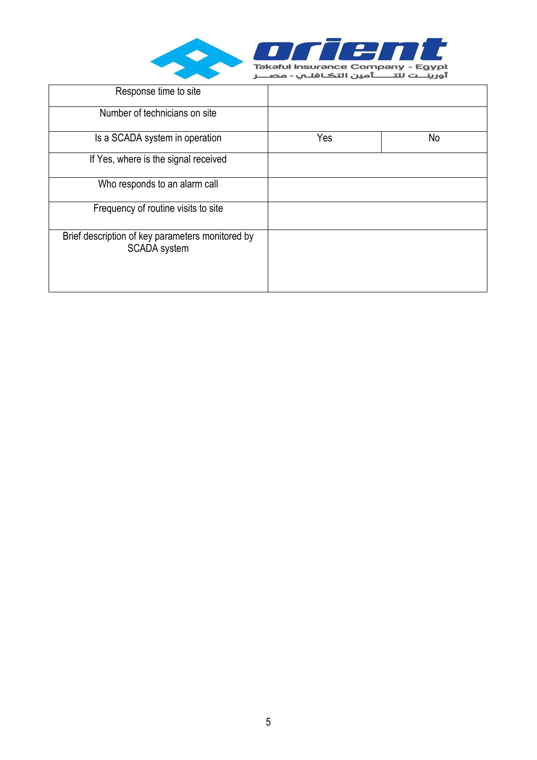

| Response time to site                                            |     |    |
|------------------------------------------------------------------|-----|----|
| Number of technicians on site                                    |     |    |
| Is a SCADA system in operation                                   | Yes | No |
| If Yes, where is the signal received                             |     |    |
| Who responds to an alarm call                                    |     |    |
| Frequency of routine visits to site                              |     |    |
| Brief description of key parameters monitored by<br>SCADA system |     |    |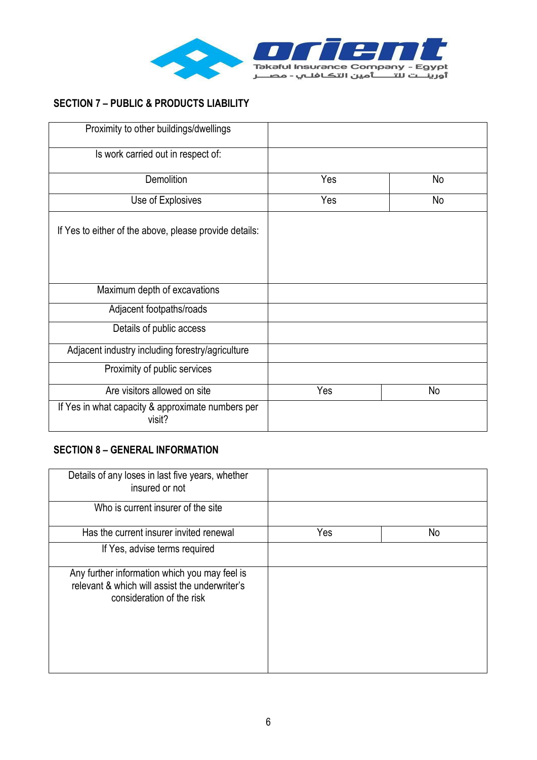

# **SECTION 7 – PUBLIC & PRODUCTS LIABILITY**

| Proximity to other buildings/dwellings                      |     |    |
|-------------------------------------------------------------|-----|----|
| Is work carried out in respect of:                          |     |    |
| <b>Demolition</b>                                           | Yes | No |
| Use of Explosives                                           | Yes | No |
| If Yes to either of the above, please provide details:      |     |    |
| Maximum depth of excavations                                |     |    |
| Adjacent footpaths/roads                                    |     |    |
| Details of public access                                    |     |    |
| Adjacent industry including forestry/agriculture            |     |    |
| Proximity of public services                                |     |    |
| Are visitors allowed on site                                | Yes | No |
| If Yes in what capacity & approximate numbers per<br>visit? |     |    |

## **SECTION 8 – GENERAL INFORMATION**

| Details of any loses in last five years, whether<br>insured or not                                                           |     |    |
|------------------------------------------------------------------------------------------------------------------------------|-----|----|
| Who is current insurer of the site                                                                                           |     |    |
| Has the current insurer invited renewal                                                                                      | Yes | No |
| If Yes, advise terms required                                                                                                |     |    |
| Any further information which you may feel is<br>relevant & which will assist the underwriter's<br>consideration of the risk |     |    |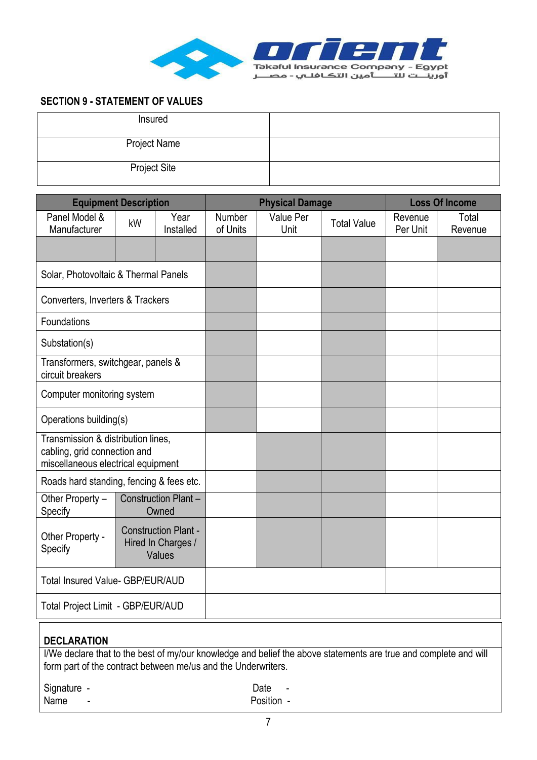

## **SECTION 9 - STATEMENT OF VALUES**

| Insured             |  |
|---------------------|--|
| <b>Project Name</b> |  |
| <b>Project Site</b> |  |

| <b>Equipment Description</b>                                                                             |    | <b>Physical Damage</b>                                      |                    |                   | <b>Loss Of Income</b> |                     |                  |
|----------------------------------------------------------------------------------------------------------|----|-------------------------------------------------------------|--------------------|-------------------|-----------------------|---------------------|------------------|
| Panel Model &<br>Manufacturer                                                                            | kW | Year<br>Installed                                           | Number<br>of Units | Value Per<br>Unit | <b>Total Value</b>    | Revenue<br>Per Unit | Total<br>Revenue |
|                                                                                                          |    |                                                             |                    |                   |                       |                     |                  |
| Solar, Photovoltaic & Thermal Panels                                                                     |    |                                                             |                    |                   |                       |                     |                  |
| Converters, Inverters & Trackers                                                                         |    |                                                             |                    |                   |                       |                     |                  |
| Foundations                                                                                              |    |                                                             |                    |                   |                       |                     |                  |
| Substation(s)                                                                                            |    |                                                             |                    |                   |                       |                     |                  |
| Transformers, switchgear, panels &<br>circuit breakers                                                   |    |                                                             |                    |                   |                       |                     |                  |
| Computer monitoring system                                                                               |    |                                                             |                    |                   |                       |                     |                  |
| Operations building(s)                                                                                   |    |                                                             |                    |                   |                       |                     |                  |
| Transmission & distribution lines,<br>cabling, grid connection and<br>miscellaneous electrical equipment |    |                                                             |                    |                   |                       |                     |                  |
| Roads hard standing, fencing & fees etc.                                                                 |    |                                                             |                    |                   |                       |                     |                  |
| Other Property -<br>Specify                                                                              |    | Construction Plant -<br>Owned                               |                    |                   |                       |                     |                  |
| Other Property -<br>Specify                                                                              |    | <b>Construction Plant -</b><br>Hired In Charges /<br>Values |                    |                   |                       |                     |                  |
| Total Insured Value- GBP/EUR/AUD                                                                         |    |                                                             |                    |                   |                       |                     |                  |
| Total Project Limit - GBP/EUR/AUD                                                                        |    |                                                             |                    |                   |                       |                     |                  |

## **DECLARATION**

I/We declare that to the best of my/our knowledge and belief the above statements are true and complete and will form part of the contract between me/us and the Underwriters.

Signature - Date - Date - Date -

Name - Position -